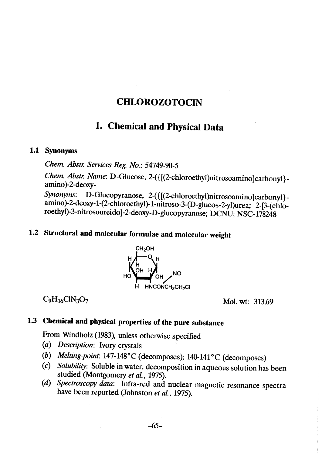# **CHLOROZOTOCIN**

# 1. ChemicaI and Physical Data

### 1.1 Synonyms

Chem. Abstr. Services Reg. No.: 54749-90-5

Chem. Abstr. Name: D-Glucose, 2-({[(2-chloroethyl)nitrosoamino]carbonyl}amino)-2-deoxy-

Synonyms: D-Glucopyranose, 2-({[(2-chloroethyl)nitrosoamino]carbonyl}amino)-2-deoxy-1-(2-chloroethyl)-1-nitroso-3-(D-glucos-2-yl)urea; 2-[3-(chloroethyl)-3-nitrosoureido)-2-deoxy-D-glucopyranose; DCNU; NSC- 178248

# 1.2 Structural and molecular formulae and molecular weight



 $C_9H_{16}CIN_3O_7$  Mol. wt: 313.69

# 1.3 Chemical and physical properties of the pure substance

From Windholz (1983), unless otherwise specified

- (a) Description: Ivory crystals
- (b) Melting-point: 147-148°C (decomposes); 14O-141°C (decomposes)
- (c) Solubility: Soluble in water; decomposition in aqueous solution has been studied (Montgomery et al., 1975).
- (d) Spectroscopy data: Infra-red and nuclear magnetic resonance spectra have been reported (Johnston et al., 1975).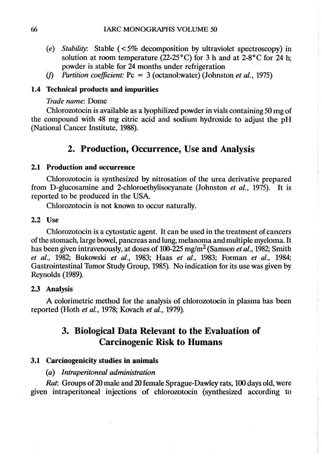- (e) Stability: Stable  $\left( \langle 5\% \rangle \right)$  decomposition by ultraviolet spectroscopy) in solution at room temperature (22-25°C) for 3 h and at  $2-8$ °C for 24 h; powder is stable for 24 months under refrigeration
- (f) Partition coefficient:  $P_c = 3$  (octanol:water) (Johnston et al., 1975)

## 1.4 Technical products and impurities

#### Trade name: Dome

Chlorozotocin is available as a lyophilized powder in vials containing 50 mg of the compound with 48 mg citric acid and sodium hydroxide to adjust the pH (National Cancer Institute, 1988).

# 2. Production, Occurrence, Use and Analysis

### 2.1 Production and occurrence

Chlorozotocin is synthesized by nitrosation of the urea derivative prepared from D-glucosamine and 2-chloroethylisocyanate (Johnston *et al.*, 1975). It is reported to be produced in the USA.

Chlorozotocin is not known to occur naturally.

#### 2.2 Use

Chlorozotocin is a cytostatic agent. It can be used in the treatment of cancers of the stomach, large bowel, pancreas and lung, melanoma and multiple myeloma. It has been given intravenously, at doses of 100-225 mg/m<sup>2</sup> (Samson et al., 1982; Smith et al., 1982; Bukowski et al., 1983; Haas et al., 1983; Forman et al., 1984; Gastrointestinal Tumor Study Group, 1985). No indication for its use was given by Reynolds (1989).

#### 2.3 Analysis

A colorimetric method for the analysis of chlorozotocin in plasma has been reported (Hoth et al., 1978; Kovach et al., 1979).

# 3. Biological Data Relevant to the Evaluation of **Carcinogenic Risk to Humans**

### 3.1 Carcinogenicity studies in animaIs

## (a) lntraperitoneal administration

 $\Delta \phi = 0.002$ 

Rat: Groups of 20 male and 20 female Sprague-Dawley rats, 100 days old, were given intraperitoneal injections of chlorozotocin (synthesized according to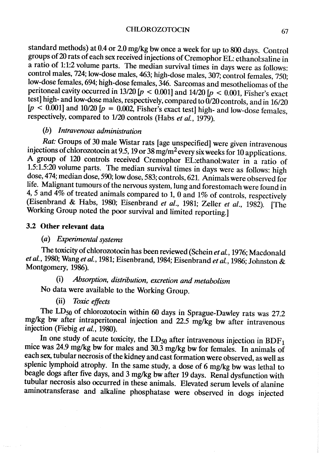standard methods) at 0.4 or 2.0 mg/kg bw once a week for up to 800 days. Control groups of 20 rats of each sex received injections of Cremophor EL: ethanol:saline in a ratio of 1: 1:2 volume parts. The median survival times in days were as follows: control males, 724; low-dose males, 463; high-dose males, 307; control females, 750; low-dose females, 694; high-dose females, 346. Sarcomas and mesotheliomas of the peritoneal cavity occurred in 13/20 [ $p < 0.001$ ] and 14/20 [ $p < 0.001$ , Fisher's exact test] high- and low-dose males, respectively, compared to  $\ddot{0}$ /20 controls, and in 16/20  $[p \le 0.001]$  and 10/20  $[p = 0.002]$ , Fisher's exact test) high- and low-dose females, respectively, compared to 1/20 controls (Habs et al., 1979).

# (b) lntravenous administration

Rat: Groups of 30 male Wistar rats (age unspecified) were given intravenous injections of chlorozotocin at 9.5, 19 or 38 mg/m<sup>2</sup> every six weeks for 10 applications. A group of 120 controls received Cremophor EL:ethanol:water in a ratio of 1.5:1.5:20 volume parts. The median survival times in days were as follows: high dose, 474; median dose, 590; low dose, 583; controls, 621. AnimaIs were observed for life. Malignant tumours of the nervous system, lung and forestomach were found in 4, 5 and  $\overline{4\%}$  of treated animals compared to 1, 0 and 1% of controls, respectively (Eisenbrand & Habs, 1980; Eisenbrand et al., 1981; Zeller et al., 1982). (The Working Group noted the poor survival and limited reporting.)

## 3.2 Other relevant data

# (a) Experimental systems

The toxicity of chlorozotocin has been reviewed (Schein et al., 1976; Macdonald et al., 1980; Wang et al., 1981; Eisenbrand, 1984; Eisenbrand et al., 1986; Johnston & Montgomery, 1986).

# (i) Absorption, distribution, exretion and metabolism

No data were available to the Working Group.

## (ii) Toxic effects

The LD<sub>50</sub> of chlorozotocin within 60 days in Sprague-Dawley rats was 27.2 mg/kg bw after intraperitoneal injection and 22.5 mg/kg bw after intravenous injection (Fiebig et al., 1980).

In one study of acute toxicity, the  $LD_{50}$  after intravenous injection in  $BDF_1$ mice was 24.9 mg/kg bw for males and 30.3 mg/kg bw for females. In animals of each sex, tubular necrosis of the kidney and cast formation were observed, as well as splenic lymphoid atrophy. ln the same study, a dose of 6 mg/kg bw was lethal to beagle dogs after five days, and 3 mg/kg bw after 19 days. Renal dysfunction with tubular necrosis also occurred in these animals. Elevated serum levels of alanine aminotransferase and alkaline phosphatase were observed in dogs injected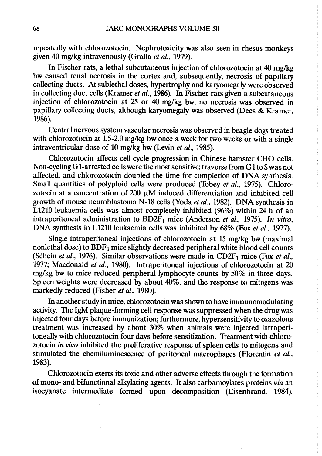repeatedly with chlorozotocin. Nephrotoxicity was also seen in rhesus monkeys given 40 mg/kg intravenously (Gralla et al., 1979).

In Fischer rats, a lethal subcutaneous injection of chlorozotocin at 40 mg/kg bw caused renal necrosis in the cortex and, subsequently, necrosis of papillary collecting ducts. At sublethal doses, hyprtrophy and karyomegaly were observed in collecting duct cells (Kramer *et al.*, 1986). In Fischer rats given a subcutaneous injection of chlorozotocin at 25 or 40 mg/kg bw, no necrosis was observed in papilary collecting ducts, although karyomegaly was observed (Dees & Kramer, 1986).

Central nervous system vascular necrosis was observed in beagle dogs treated with chlorozotocin at 1.5-2.0 mg/kg bw once a week for two weeks or with a single intraventricular dose of 10 mg/kg bw (Levin et al., 1985).

Chlorozotocin affects cell cycle progression in Chinese hamster CHO cells. Non-cycling G 1-arrested cells were the most sensitive; traverse from G 1 to S was not affected, and chlorozotocin doubled the time for completion of DNA synthesis. Small quantities of polyploid cells were produced (Tobey et al., 1975). Chlorozotocin at a concentration of  $200 \mu M$  induced differentiation and inhibited cell growth of mouse neuroblastoma N-18 cells (Yoda et al., 1982). DNA synthesis in L1210 leukaemia cells was almost completely inhibited (96%) within 24 h of an intraperitoneal administration to  $BD2F_1$  mice (Anderson et al., 1975). In vitro, DNA synthesis in L1210 leukaemia cells was inhibited by 68% (Fox et al., 1977).

Single intraperitoneal injections of chlorozotocin at 15 mg/kg bw (maximal nonlethal dose) to  $BDF<sub>1</sub>$  mice slightly decreased peripheral white blood cell counts (Schein et al., 1976). Similar observations were made in CD2F<sub>1</sub> mice (Fox et al., 1977; Macdonald et al., 1980). Intraperitoneal injections of chlorozotocin at 20 mg/kg bw to mice reduced peripheral lymphocyte counts by 50% in three days. Spleen weights were decreased by about 40%, and the response to mitogens was markedly reduced (Fisher et al., 1980).

ln another study in mice, chlorozotocin was shown to have immunomodulating activity. The IgM plaque-forming cell response was suppressed when the drug was injected four days before immunization; furthermore, hypersensitivity to oxazolone treatment was increased by about 30% when animaIs were injected intraperitoneally with chlorozotocin four days before sensitization. Treatment with chlorozotocin in vivo inhibited the proliferative response of spleen cells to mitogens and stimulated the chemiluminescence of peritoneal macrophages (Florentin et al., 1983).

Chlorozotocin exerts its toxic and other adverse effects through the formation of mono- and bifunctional alkylating agents. It also carbamoylates proteins via an isocyanate intermediate formed upon decomposition (Eisenbrand, 1984).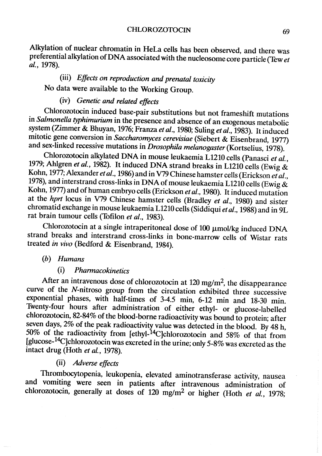Alkylation of nuclear chromatin in HeLa cells has been observed, and there was preferential alkylation of DNA associated with the nucleosome core particle (Tew et al., 1978).

# (iii) Effects on reproduction and prenatal toxicity No data were available to the Working Group.

# (iv) Genetic and related effects

Chlorozotocin induced base-pair substitutions but not frameshift mutations in Salmonella tyhimurium in the presence and absence of an exogenous metabolic system (Zimmer & Bhuyan, 1976; Franza et al., 1980; Suling et al., 1983). It induced mitotic gene conversion in Saccharomyces cerevisiae (Siebert & Eisenbrand, 1977) and sex-linked recessive mutations in *Drosophila melanogaster* (Kortselius, 1978).

Chlorozotocin alkylated DNA in mouse leukaemia L1210 cells (Panasci et al., 1979; Ahlgren et al., 1982). It induced DNA strand breaks in L1210 cells (Ewig  $\&$ Kohn, 1977; Alexander et al., 1986) and in V79 Chinese hamster cells (Erickson et al., 1978), and interstrand cross-links in DNA of mouse leukaemia L1210 cells (Ewig  $\&$ Kohn, 1977) and of human embryo cells (Erickson et al., 1980). It induced mutation at the *hprt* locus in V79 Chinese hamster cells (Bradley *et al.*, 1980) and sister chromatid exchange in mouse leukaemia L1210 cells (Siddiqui et al., 1988) and in 9L rat brain tumour cells (Tofilon et al., 1983).

Chlorozotocin at a single intraperitoneal dose of  $100 \mu$ mol/kg induced DNA strand breaks and interstrand cross-links in bone-marrow cells of Wistar rats treated in vivo (Bedford & Eisenbrand, 1984).

## (h) Humans

## (i) Pharmacokinetics

After an intravenous dose of chlorozotocin at 120 mg/m<sup>2</sup>, the disappearance curve of the N-nitroso group from the circulation exhibited three successive exponential phases, with half-times of 3-4.5 min, 6-12 min and 18-30 min. Twenty-four hours after administration of either ethyl- or glucose-Iabelled chlorozotocin, 82-84% of the blood-borne radioactivitywas bound to protein; after seven days,  $2\%$  of the peak radioactivity value was detected in the blood. By 48 h, 50% of the radioactivity from [ethyl-<sup>14</sup>C]chlorozotocin and 58% of that from (glucose-14c)chlorozotocin was excreted in the urine; only 5-8% was excreted as the intact drug (Hoth et al., 1978).

# (ii) Adverse effects

Thrombocytopenia, leukopenia, elevated aminotransferase activity, nausea and vomiting were seen in patients after intravenous administration of chlorozotocin, generally at doses of 120 mg/m<sup>2</sup> or higher (Hoth et al., 1978;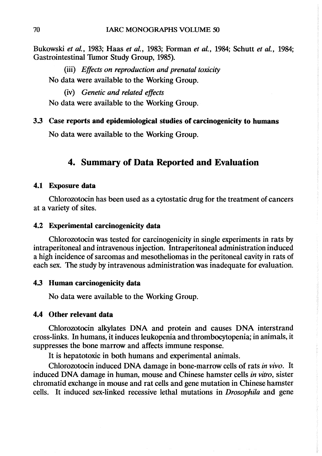Bukowski et al., 1983; Haas et al., 1983; Forman et al., 1984; Schutt et al., 1984; Gastrointestinal Tumor Study Group, 1985).

(ii) Effects on reproduction and prenatal toxicity No data were available to the Working Group.

(iv) Genetic and related effects

No data were available to the Working Group.

#### 3.3 Case reports and epidemiological studies of carcinogenicity to humans

No data were available to the Working Group.

# 4. Summary or Data Reported and Evaluation

#### 4.1 Exposure data

Chlorozotocin has been used as a cytostatic drug for the treatment of cancers at a variety of sites.

#### 4.2 Experimental carcinogenicity data

Chlorozotocin was tested for carcinogenicity in single experiments in rats by intraperitoneal and intravenous injection. Intraperitoneal administration induced a high incidence of sarcomas and mesotheliomas in the peritoneal cavity in rats of each sex. The study by intravenous administration was inadequate for evaluation.

#### 4.3 Human carcinogenicity data

No data were available to the Working Group.

### 4.4 Other relevant data

Chlorozotocin alkylates DNA and protein and causes DNA interstrand cross-links. ln humans, it induces leukopenia and thrombocytopenia; in animaIs, it suppresses the bone marrow and affects immune response.

It is hepatotoxic in both humans and experimental animals.

Chlorozotocin induced DNA damage in bone-marrow cells of rats in vivo. It induced DNA damage in human, mouse and Chinese hamster cells in vitro, sister chromatid exchange in mouse and rat cells and gene mutation inChinese hamster cells. It induced sex-linked recessive lethal mutations in Drosophila and gene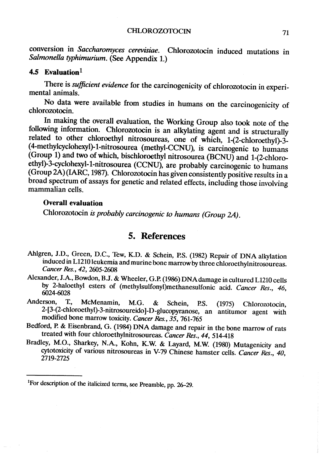### CHLOROZOTOCIN 71

conversion in Saccharomyces cerevisiae. Chlorozotocin induced mutations in Salmonella typhimurium. (See Appendix 1.)

### 4.5 Evaluation $1$

There is sufficient evidence for the carcinogenicity of chlorozotocin in experimental animaIs.

No data were available from studies in humans on the carcinogenicity of chlorozotocin.

ln making the overall evaluation, the Working Group also took note of the following information. Chlorozotocin is an alkylating agent and is structurally related to other chloroethyl nitrosoureas, one of which, 1-(2-chloroethyl)-3- ( 4-methylcyclohexyl)- 1 -nitrosourea (methyl-CCNU), is carcinogenic to humans (Group 1) and two ofwhich, bischloroethyl nitrosourea (BCNU) and 1-(2-chloroethyl)-3-cyclohexyl-1-nitrosourea (CCNU), are probably carcinogenic to humans (Group 2A) (IAC, 1987). Chlorozotocin has given consistently positive results in a broad spectrum of assays for genetic and related effects, including those involving mammalian cells.

### Overall evaluation

Chlorozotocin is probably carcinogenic to humans (Group 2A.

## 5. References

- Ahlgren, J.D., Green, D.C., Tew, K.D. & Schein, ES. (1982) Repair of DNA alkylation induced in L1210 leukemia and murine bone marrow by three chloroethylnitrosoureas. Cancer Res., 42, 2605-2608
- Alexander, J.A., Bowdon, B.J. & Wheeler, G.P. (1986) DNAdamage in cultured L1210 cells by 2-haloethyl esters of (methylsulfonyl)methanesulfonic acid. Cancer Res., 46, 6024-6028
- Anderson, T., McMenamin, M.G. & Schein, P.S. (1975) Chlorozotocin 2-(3-(2-chloroethyl)-3-nitrosoureido )-D-glucopyranose, an antitumor agent with modified bone marrow toxicity. Cancer Res., 35, 761-765
- Bedford, P. & Eisenbrand, G. (1984) DNA damage and repair in the bone marrow of rats treated with four chloroethylnitrosoureas. Cancer Res., 44, 514-418
- Bradley, M.O., Sharkey, N.A., Kohn, K.W & Layard, M.W. (1980) Mutagenicity and cytotoxicity of various nitrosoureas in V-79 Chinese hamster cells. Cancer Res., 40, 2719-2725

<sup>&</sup>lt;sup>1</sup>For description of the italicized terms, see Preamble, pp. 26-29.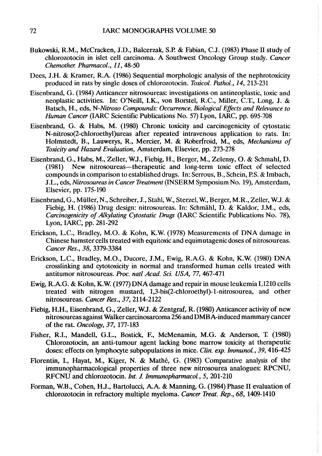- Bukowski, R.M., McCracken, J.D., Balcerzk, S.R & Fabian, C.J. (1983) Phase II study of chlorozotocin in islet cell carcinoma. A Southwest Oncology Group study. Caner Chemother. Pharmacol., 11, 48-50
- Dees, J.H. & Kramer, R.A. (1986) Sequential morphologie analysis of the nephrotoxicity produced in rats by single doses of chlorozotocin. Toxicol. Pathol., 14, 213-231
- Eisenbrand, G. (1984) Anticancer nitrosoureas: investigations on antineoplastic, toxic and neoplastic activities. In: O'Neill, I.K., von Borstel, R.C., Miller, C.T., Long, J. & Batsch, H., eds, N-Nitroso Compounds: Occurrence, Biological Effects and Relevance to Human Cancer (IARC Scientific Publications No. 57) Lyon, IARC, pp. 695-708
- Eisenbrand, G. & Habs, M. (1980) Chronic toxicity and carcinogenicity of cyostatie N-nitroso(2-chloroethyl)ureas after repeated intravenous application to rats. In: Holmstedt, B., Lauwerys, R., Mercier, M. & Roberfroid, M., eds, Mechanisms of Toxicity and Hazard Evaluation, Amsterdam, Elsevier, pp. 273-278
- Eisenbrand, G., Habs, M., Zeller, W.J., Fiebig, H., Berger, M., Zelensy, O. & Schmahl, D. (1981) New nitrosoureas-therapeutic and long-term toxic effect of selected compounds in companson to established drugs. In: Serrous, B., Schein, RS. & Imbach, J.L., eds, Nitrosoureas in Cancer Treatment (INSERM Symposium No. 19), Amsterdam, Elsevier, pp. 175-190
- Eisenbrand, G., Müller, N., Schreiber, J., Stahl, W., Sterzel, W., Berger, M.R., Zeller, W.J. & Fiebig, H. (1986) Drug design: nitrosoureas. In: Schmähl, D. & Kaldor, J.M., eds, Carcinogenicity of Alkylating Cytostatic Drugs (lARC Scientific Publications No. 78), Lyon, IARC, pp. 281-292
- Enckson, L.C., Bradley, M.O. & Kohn, K.W. (1978) Measurements of DNA damage in Chinese hamster cells treated with equitoxic and equimutagenic doses of nitrosoureas. Cancer Res., 38, 3379-3384
- Enckson, L.C., Bradley, M.O., Ducore, J.M., Ewig, R.A.G. & Kohn, K.W. (1980) DNA crosslinkig and cyotoxicity in normal and transformed human cells treated with antitumor nitrosoureas. Proc. natl Acad. Sci. USA, 77, 467-471
- Ewig, R.A.G. & Kohn, K.W. (1977) DNA damage and repair in mouse leukemia L1210 cells treated with nitrogen mustard, 1,3-bis(2-chloroethyl)-1-nitrosourea, and other nitrosoureas. Cancer Res., 37, 2114-2122
- Fiebig, H.H., Eisenbrand, G., Zeller, W.J. & Zentgraf, R. (1980) Anticancer activity of new nitrosoureas against Walker carcinosarcoma 256 and DMBA-induced mammaiy cancer of the rat. Oncology, 37, 177-183
- Fisher, R.I., Mandell, G.L., Bostick, F., McMenamin, M.G. & Anderson, 'f (1980) Chlorozotocin, an anti-tumour agent lacking bone marrow toxicity at therapeutic doses: effects on lymphocyte subpopulations in mice. Clin. exp. Immunol., 39, 416-425
- Florentin, 1., Hayat, M., Kiger, N. & Mathé, G. (1983) Comparative analysis of the immunopharmacological properties of three new nitrosourea analogues: RPCNU, RFCNU and chlorozotocin. Int. J. Immunopharmacol., 5, 201-210
- Forman, W.B., Cohen, H.J., Bartolucci, A.A. & Manning, G. (1984) Phase II evaluation of chlorozotocin in refractory multiple myeloma. Cancer Treat. Rep., 68, 1409-1410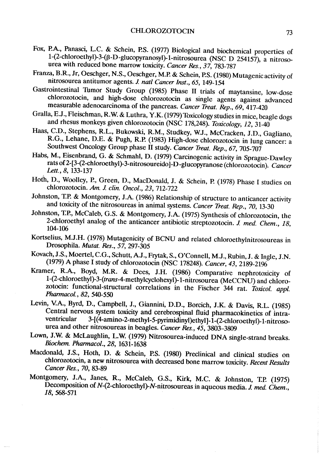- Fox, P.A., Panasci, L.C. & Schein, P.S. (1977) Biological and biochemical properties of 1-(2-chloroethyl)-3-(ß-D-glucopyrnosyl)-I-nitrosourea (NSC D 254157), a nitrosourea with reduced bone marrow toxicity. Cancer Res., 37, 783-787
- Franza, B.R., Jr, Oeschger, N.S., Oeschger, M.P. & Schein, P.S. (1980) Mutagenic activity of nitrosourea antitumor agents. J. natl Cancer Inst., 65, 149-154
- Gastrointestinal Thmor Study Group (1985) Phase II trials of maytansine, low-dose chlorozotocin, and high-dose chlorozotocin as single agents against advanced measurable adenocarcinoma of the pancreas. Cancer Treat. Rep., 69, 417-420
- Gralla, E.J., Fleischman, R.W. & Luthra, Y.K. (1979) Toxicology studies in mice, beagle dogs and rhesus monkeys given chlorozotocin (NSC 178,248). Toxicology, 12, 31-40
- Haas, C.D., Stephens, R.L., Bukowski, R.M., Studkey, WJ., McCracken, J.D., Gagliano, R.G., Lehane, D.E. & Pugh, R.P. (1983) High-dose chlorozotocin in lung cancer: a Southwest Oncology Group phase II study. Cancer Treat. Rep., 67, 705-707
- Habs, M., Eisenbrand, G. & Schmahl, D. (1979) Carcinogenic activity in Sprague-Dawley rats of 2-(3-(2-chloroethyl)-3-nitrosoureido )-D-glucopyranose (chlorozotocin). Cancer Lett., 8, 133-137
- Hoth, D., Woolley, P., Green, D., MacDonald, J. & Schein, P. (1978) Phase l studies on chlorozotocin. Am. J. clin. Oncol., 23, 712-722
- Johnston, T.P. & Montgomery, J.A. (1986) Relationship of structure to anticancer activity and toxicity of the nitrosoureas in animal systems. Cancer Treat. Rep., 70, 13-30
- Johnston, T.P., McCaleb, G.S. & Montgomery, J.A. (1975) Synthesis of chlorozotocin, the 2-chloroethyl analog of the anticancer antibiotic streptozotocin. J. med. Chem., 18, 104-106
- Kortselius, M.J.H. (1978) Mutagenicity of BCNU and related chloroethylnitrosoureas in Drosophila. Mutat. Res., 57, 297-305
- Kovach, J.S., Moertel, C.G., Schutt, A.J., Frytak, S., O'Connell, M.J., Rubin, J. & Ingle, J.N. (1979) A phase 1 study of chlorozotocin (NSC 178248). Cancer, 43, 2189-21%
- Kramer, R.A., Boyd, M.R. & Dees, J.H. (1986) Comparative nephrotoxicity of 1-(2-chloroethyl)-3-(trans-4-methylcyclohexyl)-1-nitrosourea (MeCCNU) and chlorozotocin: functional-structural correlations in the Fischer 344 rat. Toxicol. appl. Pharmacol., 82, 540-550
- Levin, V.A., Byrd, D., Campbell, J., Giannini, D.D., Borcich, J.K. & Davis, R.L. (1985) Central nervous system toxicity and cerebrospinal fluid pharmacokinetics of intraventricular 3-[(4-amino-2-methyl-5-pyrimidinyl)ethyl]-1-(2-chloroethyl)-1-nitrosourea and other nitrosoureas in beagles. Cancer Res., 45, 3803-3809
- Lown, J.W. & McLaughlin, L.W (1979) Nitrosourea-induced DNA single-strand breaks. Biochem. Pharmacol., 28, 1631-1638
- Macdonald, J.S., Hoth, D. & Schein, P.S. (1980) Preclinical and clinical studies on chlorozotocin, a new nitrosourea with decreased bone marrow toxicity. Recent Results Caner Res., 70, 83-89
- Montgomery, J.A., Janes, R., McCaleb, G.S., Kirk, M.C. & Johnston, T.P. (1975) Decomposition of  $N$ -(2-chloroethyl)- $N$ -nitrosoureas in aqueous media. J. med. Chem., 18, 568-571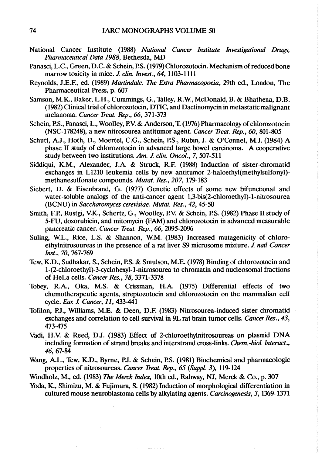- National Cancer Institute (1988) National Cancer Institute Investigational Drugs, Pharmaceutical Data 1988, Bethesda, MD
- Panasci, L.C., Green, D.C. & Schein, P.S. (1979) Chlorozotocin. Mechanism of reduced bone marrow toxicity in mice. J. clin. Invest., 64, 1103-1111
- Reynolds, J.E.F., ed. (1989) Martindale. The Extra Pharmacopoeia, 29th ed., London, The Pharmaceutical Press, p. 607
- Samson, M.K., Baker, L.H., Cummings, G., Talley, R.W., McDonald, B. & Bhathena, D.B. (1982) Clinical trial of chlorozotocin, DTIC, and Dactinomycin in metastatic malignant melanoma. Caner Treat. Rep., 66, 371-373
- Schein, P.S., Panasci, L., Woolley, P.V. & Anderson, T. (1976) Pharmacology of chlorozotocin (NSC-178248), a new nitrosourea antitumor agent. Caner Treal. Rep., 60, 801-805
- Schutt, A.J., Hoth, D., Moertel, C.G., Schein, P.S., Rubin, J. & O'Connel, M.J. (1984) A phase II study of chlorozotocin in advanced large bowel carcinoma. A cooperative study between two institutions. Am. J. clin. Oncol., 7, 507-511
- Siddiqui, K.M., Alexander, J.A. & Struck, R.E (1988) Induction of sister-chromatid exchanges in L1210 leukemia cells by new antitumor 2-haloethyl(methylsulfonyl) methanesulfonate compounds. Mutat. Res., 207, 179-183
- Siebert, D. & Eisenbrand, G. (1977) Genetic effects of some new bifunctional and water-soluble analogs of the anti-cancer agent 1,3-bis(2-chloroethyl)-1-nitrosourea (BCNU) in Saccharomyces cerevisiae. Mutat. Res., 42, 45-50
- Smith, EP., Rustgi, V:K., Schertz, G., Woolley, P.V: & Schein, ES. (1982) Phase II study of 5-FU, doxorubicin, and mitomycin (FAM) and chlorozotocin in advanced measurable pancreatic cancer. Cancer Treat. Rep., 66, 2095-2096
- Suling, W.L., Rice, L.S. & Shannon, W.M. (1983) Increased mutagenicity of chloroethylnitrosoureas in the presence of a rat liver S9 microsome mixture. J. natl Cancer Inst., 70, 767-769
- Tew, K.D., Sudhakar, S., Schein, P.S. & Smulson, M.E. (1978) Binding of chlorozotocin and 1-(2-chloroethyl)-3-cyclohexyl-1-nitrosourea to chromatin and nucleosomal fractions of HeLa cells. Cancer Res., 38, 3371-3378
- Tobey, R.A., Oka, M.S. & Crissman, H.A. (1975) Differential effects of two chemotherapeutic agents, streptozotocin and chlorozotocin on the mammalian cell cycle. Eur. J. Cancer, 11, 433-441
- Tofilon, P.J., Williams, M.E. & Deen, D.F. (1983) Nitrosourea-induced sister chromatid exchanges and correlation to cell survival in 9L rat brain tumor cells. Cancer Res., 43, 473-475
- Vadi, H.V. & Reed, D.J. (1983) Effect of 2-chloroethylnitrosoureas on plasmid DNA including formation of strand breaks and interstrand cross-links. Chem.-biol. Interact., 46,67-84
- Wang, A.L., Tew, K.D., Byme, PJ. & Schein, ES. (1981) Biochemical and pharmacologic properties of nitrosoureas. Caner Treat. Rep., 65 (Suppl. 3), 119-124
- Windholz, M., ed. (1983) The Merck Index, 10th ed., Rahway, NJ, Merck & Co., p. 307
- Yoda, K., Shimizu, M. & Fujimura, S. (1982) Induction of morphological differentiation in cultured mouse neuroblastoma cells by alkylating agents. Carcinogenesis, 3, 1369-1371